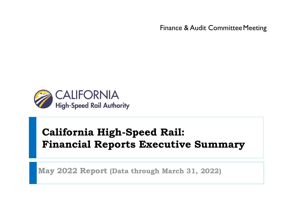Finance & Audit Committee Meeting



# **California High-Speed Rail: Financial Reports Executive Summary**

**May 2022 Report (Data through March 31, 2022)**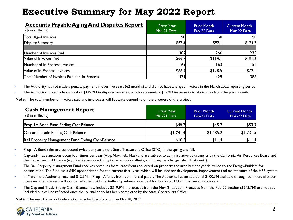| <b>Accounts Payable Aging And Disputes Report</b><br>$($$ in millions) | <b>Prior Year</b><br>Mar-21 Data | <b>Prior Month</b><br>Feb-22 Data | <b>Current Month</b><br>Mar-22 Data |
|------------------------------------------------------------------------|----------------------------------|-----------------------------------|-------------------------------------|
| Total Aged Invoices                                                    | \$0                              | \$0                               | \$0                                 |
| Dispute Summary                                                        | \$62.5                           | \$92.1                            | \$129.2                             |
| Number of Invoices Paid                                                | 302                              | 266                               | 235                                 |
| Value of Invoices Paid                                                 | \$66.7                           | \$114.1                           | \$101.3                             |
| Number of In-Process Invoices                                          | 169                              | 163                               | 151                                 |
| Value of In-Process Invoices                                           | \$66.9                           | \$128.5                           | \$72.1                              |
| Total Number of Invoices Paid and In-Process                           | 471                              | 429                               | 386                                 |

• The Authority has not made a penalty payment in over five years (62 months) and did not have any aged invoices in the March 2022 reporting period.

• The Authority currently has a total of \$129.2M in disputed invoices, which represents a \$37.2M increase in total disputes from the prior month.

**Note:** The total number of invoices paid and in-process will fluctuate depending on the progress of the project.

| <b>Cash Management Report</b><br>$$$ in millions) | <b>Prior Year</b><br>Mar-21 Data | <b>Prior Month</b><br>Feb-22 Data | <b>Current Month</b><br>Mar-22 Data |
|---------------------------------------------------|----------------------------------|-----------------------------------|-------------------------------------|
| Prop IA Bond Fund Ending Cash Balance             | \$48.7                           | \$45.2                            | \$53.3                              |
| Cap-and-Trade Ending Cash Balance                 | \$1,741.4                        | \$1,485.2                         | \$1,731.5                           |
| Rail Property Management Fund Ending CashBalance  | \$10.5                           | \$11.4                            | \$11.4                              |

• Prop 1A Bond sales are conducted twice per year by the State Treasurer's Office (STO) in the spring and fall.

- Cap-and-Trade auctions occur four times per year (Aug, Nov, Feb, May) and are subject to administrative adjustments by the California Air Resources Board and the Department of Finance (e.g. fire fee, manufacturing tax exemption offsets, and foreign exchange rate adjustments).
- The Rail Property Management Fund receives revenues from leases/rents collected on property acquired but not yet delivered to the Design-Builders for construction. The fund has a \$4M appropriation for the current fiscal year, which will be used for development, improvement and maintenance of the HSR system.
- In March, the Authority received \$12.5M in Prop 1A funds from commercial paper. The Authority has an additional \$100.3M available through commercial paper; however, the proceeds will not be reflected until the Authority submits a request for funds to STO and issuance is completed.
- The Cap-and-Trade Ending Cash Balance now includes \$319.9M in proceeds from the Nov-21 auction. Proceeds from the Feb-22 auction (\$243.7M) are not yet included but will be reflected once the journal entry has been completed by the State Controllers Office.

**Note:** The next Cap-and-Trade auction is scheduled to occur on May 18, 2022.

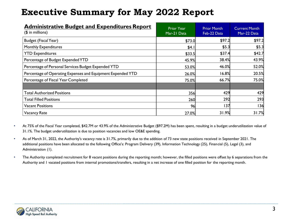| <b>Administrative Budget and Expenditures Report</b><br>$($$ in millions) | <b>Prior Year</b><br>Mar-21 Data | <b>Prior Month</b><br>Feb-22 Data | <b>Current Month</b><br>Mar-22 Data |
|---------------------------------------------------------------------------|----------------------------------|-----------------------------------|-------------------------------------|
| <b>Budget (Fiscal Year)</b>                                               | \$73.0                           | \$97.2                            | \$97.2                              |
| <b>Monthly Expenditures</b>                                               | \$4.1                            | \$5.3                             | \$5.3                               |
| <b>YTD Expenditures</b>                                                   | \$33.5                           | \$37.4                            | \$42.7                              |
| Percentage of Budget Expended YTD                                         | 45.9%                            | 38.4%                             | 43.9%                               |
| Percentage of Personal Services Budget Expended YTD                       | 53.0%                            | 46.0%                             | 52.0%                               |
| Percentage of Operating Expenses and Equipment Expended YTD               | 26.0%                            | 16.8%                             | 20.5%                               |
| Percentage of Fiscal Year Completed                                       | 75.0%                            | 66.7%                             | 75.0%                               |
|                                                                           |                                  |                                   |                                     |
| <b>Total Authorized Positions</b>                                         | 356                              | 429                               | 429                                 |
| <b>Total Filled Positions</b>                                             | 260                              | 292                               | 293                                 |
| Vacant Positions                                                          | 96                               | 137                               | 136                                 |
| <b>Vacancy Rate</b>                                                       | 27.0%                            | 31.9%                             | 31.7%                               |

- At 75% of the Fiscal Year completed, \$42.7M or 43.9% of the Administrative Budget (\$97.2M) has been spent, resulting in a budget underutilization value of 31.1%. The budget underutilization is due to position vacancies and low OE&E spending.
- As of March 31, 2022, the Authority's vacancy rate is 31.7%, primarily due to the addition of 73 new state positions received in September 2021. The additional positions have been allocated to the following Office's: Program Delivery (39), Information Technology (25), Financial (5), Legal (3), and Administration (1).
- The Authority completed recruitment for 8 vacant positions during the reporting month; however, the filled positions were offset by 6 separations from the Authority and 1 vacated positions from internal promotions/transfers, resulting in a net increase of one filled position for the reporting month.

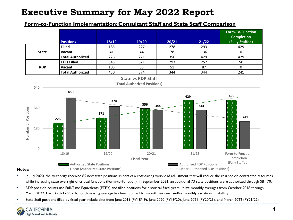### **Form-to-Function Implementation: Consultant Staff and State Staff Comparison**



- **Notes:**
- In July 2020, the Authority received 85 new state positions as part of a cost-saving workload adjustment that will reduce the reliance on contracted resources, while increasing state oversight of critical functions (Form-to-Function). In September 2021, an additional 73 state positions were authorized through SB 170.
- RDP position counts use Full-Time Equivalents (FTE's) and filled positions for historical fiscal years utilize monthly averages from October 2018 through March 2022. For FY2021-22, a 3-month moving average has been utilized to smooth seasonal and/or monthly variations in staffing.
- State Staff positions filled by fiscal year include data from June 2019 (FY18/19), June 2020 (FY19/20), June 2021 (FY20/21), and March 2022 (FY21/22).

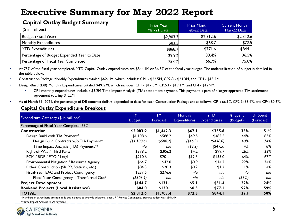| <b>Capital Outlay Budget Summary</b><br>$($$ in millions) | <b>Prior Year</b><br>Mar-21 Data | <b>Prior Month</b><br>Feb-22 Data | <b>Current Month</b><br>Mar-22 Data |
|-----------------------------------------------------------|----------------------------------|-----------------------------------|-------------------------------------|
| Budget (Fiscal Year)                                      | \$2,903.3                        | \$2,312.6                         | \$2,312.6                           |
| <b>Monthly Expenditures</b>                               | \$83.5                           | \$68.7                            | \$72.5                              |
| <b>YTD Expenditures</b>                                   | \$868.7                          | \$771.6                           | \$844.1                             |
| Percentage of Budget Expended Year to Date                | 29.9%                            | 33.4%                             | 36.5%                               |
| Percentage of Fiscal Year Completed                       | 75.0%                            | 66.7%                             | 75.0%                               |

• At 75% of the fiscal year completed, YTD Capital Outlay expenditures are \$844.1M or 36.5% of the fiscal year budget. The underutilization of budget is detailed in the table below.

• Construction Package Monthly Expenditures totaled **\$62.1M**, which includes: CP1 - \$22.5M, CP2-3 - \$24.3M, and CP4 - \$15.2M.

- Design-Build (DB) Monthly Expenditures totaled **\$49.5M**, which includes: CP1 \$17.5M, CP2-3 \$19.1M, and CP4 \$12.9M.
	- CP1 monthly expenditures include a \$3.2M Time Impact Analysis (TIA) settlement payment. This payment is part of a larger approved TIA settlement agreement totaling \$122M.
- As of March 31, 2021, the percentage of DB contract dollars expended to date for each Construction Package are as follows: CP1: 66.1%, CP2-3: 68.4%, and CP4: 80.6%.

#### **Capital Outlay Expenditure Breakout**

|                                            | <b>FY</b>     | <b>FY</b>  | <b>Monthly</b>      | <b>YTD</b>          | % Spent  | % Spent    |
|--------------------------------------------|---------------|------------|---------------------|---------------------|----------|------------|
| Expenditure Category (\$ in millions)      | <b>Budget</b> | Forecast   | <b>Expenditures</b> | <b>Expenditures</b> | (Budget) | (Forecast) |
| Percentage of Fiscal Year Complete: 75%    |               |            |                     |                     |          |            |
| <b>Construction</b>                        | \$2,083.9     | \$1,442.3  | \$67.1              | \$735.6             | 35%      | 51%        |
| Design Build with TIA Payment*             | \$1,108.6     | \$588.2    | \$49.5              | \$485.5             | 44%      | 83%        |
| Design Build Contracts w/o TIA Payment*    | (\$1,108.6)   | ( \$588.2) | ( \$46.3)           | (\$438.0)           | 40%      | 74%        |
| Time Impact Analysis (TIA) Payments**      | n/a           | n/a        | ( \$3.2)            | $($ \$47.5)         | 4%       | 8%         |
| Right-of-Way / Third Party                 | \$378.2       | \$306.2    | \$4.2               | \$99.7              | 26%      | 33%        |
| PCM / RDP / ETO / Legal                    | \$210.6       | \$201.1    | \$12.3              | \$135.0             | 64%      | 67%        |
| Environmental Mitigation / Resource Agency | \$64.7        | \$42.0     | \$0.9               | \$14.2              | 22%      | 34%        |
| Other Construction (SR 99, Stations, etc.) | \$84.3        | \$28.3     | \$0.2               | \$1.2               | $1\%$    | 4%         |
| Fiscal-Year EAC and Project Contingency    | \$237.5       | \$276.6    | n/a                 | nla                 | n/a      | n/a        |
| Fiscal-Year Contingency - Transferred Out* | $($ \$306.9)  | n/a        | n/a                 | n/a                 | (56%)    | n/a        |
| <b>Project Development</b>                 | \$144.7       | \$131.1    | \$5.1               | \$31.4              | 22%      | 24%        |
| <b>Bookend Projects (Local Assistance)</b> | \$84.0        | \$130.I    | \$0.3               | \$77.1              | 92%      | 59%        |
| <b>TOTAL</b>                               | \$2,312.6     | \$1,703.4  | \$72.5              | \$844.1             | 37%      | 50%        |

\*Numbers in parenthesis are non-adds but included to provide additional detail. FY Project Contingency starting budget was \$544.4M.

\*\*Time Impact Analysis (TIA) payment.

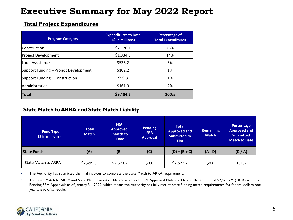### **Total Project Expenditures**

| <b>Program Category</b>               | <b>Expenditures to Date</b><br>(\$ in millions) | <b>Percentage of</b><br><b>Total Expenditures</b> |
|---------------------------------------|-------------------------------------------------|---------------------------------------------------|
| <b>Construction</b>                   | \$7,170.1                                       | 76%                                               |
| Project Development                   | \$1,334.6                                       | 14%                                               |
| lLocal Assistance                     | \$536.2                                         | 6%                                                |
| Support Funding - Project Development | \$102.2                                         | 1%                                                |
| Support Funding – Construction        | \$99.3                                          | 1%                                                |
| Administration                        | \$161.9                                         | 2%                                                |
| <b>Total</b>                          | \$9,404.2                                       | 100%                                              |

### **State Match to ARRA and State Match Liability**

| <b>Fund Type</b><br>(\$ in millions) | Total<br><b>Match</b> | <b>FRA</b><br><b>Approved</b><br><b>Match to</b><br><b>Date</b> | <b>Pending</b><br><b>FRA</b><br><b>Approval</b> | <b>Total</b><br><b>Approved and</b><br><b>Submitted to</b><br><b>FRA</b> | <b>Remaining</b><br><b>Match</b> | Percentage<br><b>Approved and</b><br><b>Submitted</b><br><b>Match to Date</b> |
|--------------------------------------|-----------------------|-----------------------------------------------------------------|-------------------------------------------------|--------------------------------------------------------------------------|----------------------------------|-------------------------------------------------------------------------------|
| <b>State Funds</b>                   | (A)                   | (B)                                                             | (C)                                             | $(D) = (B + C)$                                                          | $(A - D)$                        | (D/A)                                                                         |
| <b>State Match to ARRA</b>           | \$2,499.0             | \$2,523.7                                                       | \$0.0                                           | \$2,523.7                                                                | \$0.0                            | 101%                                                                          |

• The Authority has submitted the final invoices to complete the State Match to ARRA requirement.

• The State Match to ARRA and State Match Liability table above reflects FRA Approved Match to Date in the amount of \$2,523.7M (101%) with no Pending FRA Approvals as of January 31, 2022, which means the Authority has fully met its state funding match requirements for federal dollars one year ahead of schedule.

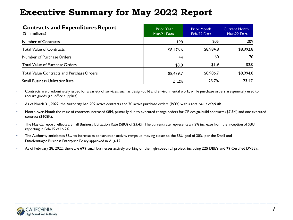| <b>Contracts and Expenditures Report</b><br>$($$ in millions) | <b>Prior Year</b><br>Mar-21 Data | <b>Prior Month</b><br>Feb-22 Data | <b>Current Month</b><br>Mar-22 Data |
|---------------------------------------------------------------|----------------------------------|-----------------------------------|-------------------------------------|
| Number of Contracts                                           | 1981                             | 205                               | 209                                 |
| <b>Total Value of Contracts</b>                               | \$8,476.6                        | \$8,984.8                         | \$8,992.8                           |
| Number of Purchase Orders                                     | 44                               | 60                                | 70                                  |
| Total Value of Purchase Orders                                | \$3.0                            | \$1.9                             | \$2.0                               |
| Total Value Contracts and Purchase Orders                     | \$8,479.7                        | \$8,986.7                         | \$8,994.8                           |
| <b>Small Business Utilization Rate</b>                        | 21.2%                            | 23.7%                             | 23.4%                               |

- Contracts are predominately issued for a variety of services, such as design-build and environmental work, while purchase orders are generally used to acquire goods (i.e. office supplies).
- As of March 31, 2022, the Authority had 209 active contracts and 70 active purchase orders (PO's) with a total value of \$9.0B.
- Month-over-Month the value of contracts increased \$8M, primarily due to executed change orders for CP design-build contracts (\$7.5M) and one executed contract (\$608K).
- The May-22 report reflects a Small Business Utilization Rate (SBU) of 23.4%. The current rate represents a 7.2% increase from the inception of SBU reporting in Feb-15 of 16.2%.
- The Authority anticipates SBU to increase as construction activity ramps up moving closer to the SBU goal of 30%, per the Small and Disadvantaged Business Enterprise Policy approved in Aug-12.
- As of February 28, 2022, there are **699** small businesses actively working on the high-speed rail project, including **225** DBE's and **79** Certified DVBE's.